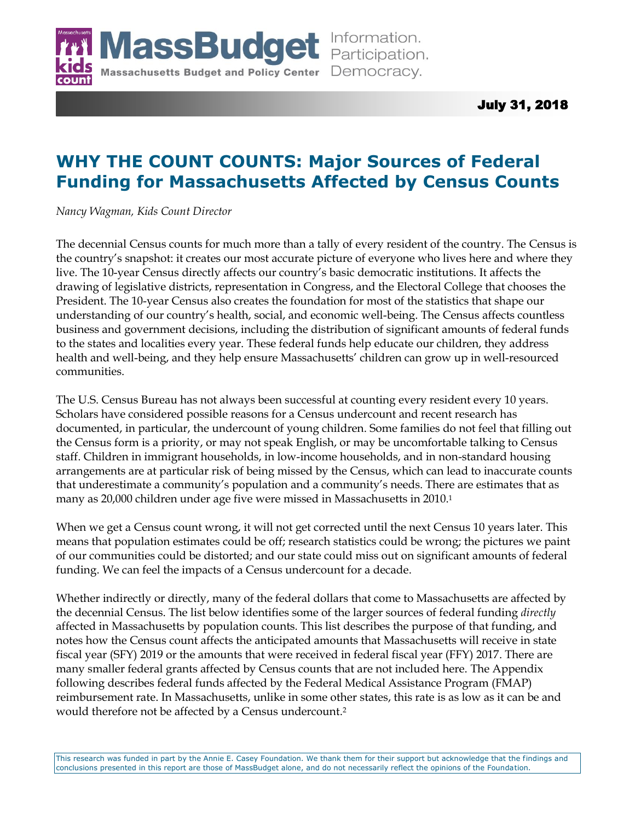

July 31, 2018

# **WHY THE COUNT COUNTS: Major Sources of Federal Funding for Massachusetts Affected by Census Counts**

*Nancy Wagman, Kids Count Director*

The decennial Census counts for much more than a tally of every resident of the country. The Census is the country's snapshot: it creates our most accurate picture of everyone who lives here and where they live. The 10-year Census directly affects our country's basic democratic institutions. It affects the drawing of legislative districts, representation in Congress, and the Electoral College that chooses the President. The 10-year Census also creates the foundation for most of the statistics that shape our understanding of our country's health, social, and economic well-being. The Census affects countless business and government decisions, including the distribution of significant amounts of federal funds to the states and localities every year. These federal funds help educate our children, they address health and well-being, and they help ensure Massachusetts' children can grow up in well-resourced communities.

The U.S. Census Bureau has not always been successful at counting every resident every 10 years. Scholars have considered possible reasons for a Census undercount and recent research has documented, in particular, the undercount of young children. Some families do not feel that filling out the Census form is a priority, or may not speak English, or may be uncomfortable talking to Census staff. Children in immigrant households, in low-income households, and in non-standard housing arrangements are at particular risk of being missed by the Census, which can lead to inaccurate counts that underestimate a community's population and a community's needs. There are estimates that as many as 20,000 children under age five were missed in Massachusetts in 2010.<sup>1</sup>

When we get a Census count wrong, it will not get corrected until the next Census 10 years later. This means that population estimates could be off; research statistics could be wrong; the pictures we paint of our communities could be distorted; and our state could miss out on significant amounts of federal funding. We can feel the impacts of a Census undercount for a decade.

Whether indirectly or directly, many of the federal dollars that come to Massachusetts are affected by the decennial Census. The list below identifies some of the larger sources of federal funding *directly* affected in Massachusetts by population counts. This list describes the purpose of that funding, and notes how the Census count affects the anticipated amounts that Massachusetts will receive in state fiscal year (SFY) 2019 or the amounts that were received in federal fiscal year (FFY) 2017. There are many smaller federal grants affected by Census counts that are not included here. The Appendix following describes federal funds affected by the Federal Medical Assistance Program (FMAP) reimbursement rate. In Massachusetts, unlike in some other states, this rate is as low as it can be and would therefore not be affected by a Census undercount.2

This research was funded in part by the Annie E. Casey Foundation. We thank them for their support but acknowledge that the findings and conclusions presented in this report are those of MassBudget alone, and do not necessarily reflect the opinions of the Foundation.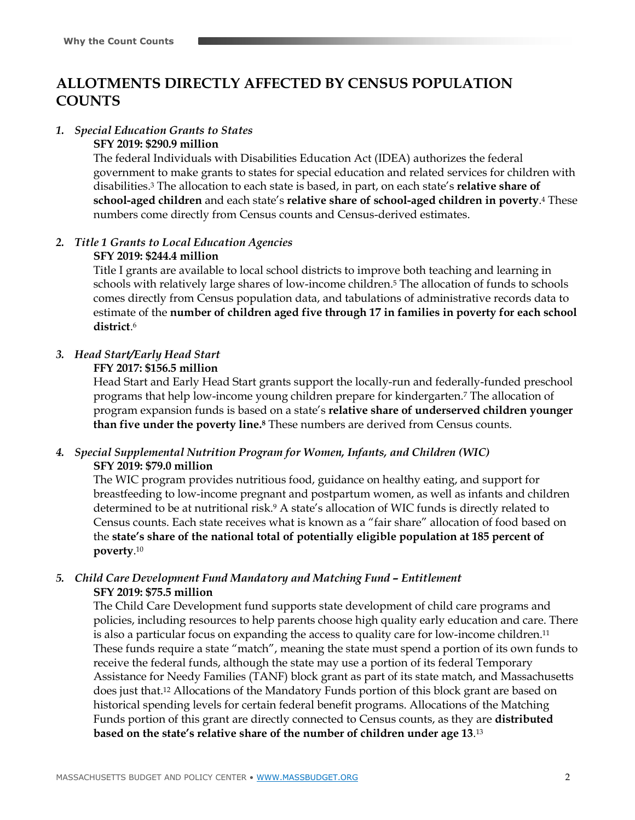## **ALLOTMENTS DIRECTLY AFFECTED BY CENSUS POPULATION COUNTS**

### *1. Special Education Grants to States*

### **SFY 2019: \$290.9 million**

The federal Individuals with Disabilities Education Act (IDEA) authorizes the federal government to make grants to states for special education and related services for children with disabilities.<sup>3</sup> The allocation to each state is based, in part, on each state's **relative share of school-aged children** and each state's **relative share of school-aged children in poverty**. <sup>4</sup> These numbers come directly from Census counts and Census-derived estimates.

### *2. Title 1 Grants to Local Education Agencies*

### **SFY 2019: \$244.4 million**

Title I grants are available to local school districts to improve both teaching and learning in schools with relatively large shares of low-income children.<sup>5</sup> The allocation of funds to schools comes directly from Census population data, and tabulations of administrative records data to estimate of the **number of children aged five through 17 in families in poverty for each school district**. 6

## *3. Head Start/Early Head Start*

### **FFY 2017: \$156.5 million**

Head Start and Early Head Start grants support the locally-run and federally-funded preschool programs that help low-income young children prepare for kindergarten.<sup>7</sup> The allocation of program expansion funds is based on a state's **relative share of underserved children younger than five under the poverty line.<sup>8</sup>** These numbers are derived from Census counts.

### *4. Special Supplemental Nutrition Program for Women, Infants, and Children (WIC)* **SFY 2019: \$79.0 million**

The WIC program provides nutritious food, guidance on healthy eating, and support for breastfeeding to low-income pregnant and postpartum women, as well as infants and children determined to be at nutritional risk.<sup>9</sup> A state's allocation of WIC funds is directly related to Census counts. Each state receives what is known as a "fair share" allocation of food based on the **state's share of the national total of potentially eligible population at 185 percent of poverty**. 10

### *5. Child Care Development Fund Mandatory and Matching Fund – Entitlement* **SFY 2019: \$75.5 million**

The Child Care Development fund supports state development of child care programs and policies, including resources to help parents choose high quality early education and care. There is also a particular focus on expanding the access to quality care for low-income children.<sup>11</sup> These funds require a state "match", meaning the state must spend a portion of its own funds to receive the federal funds, although the state may use a portion of its federal Temporary Assistance for Needy Families (TANF) block grant as part of its state match, and Massachusetts does just that.<sup>12</sup> Allocations of the Mandatory Funds portion of this block grant are based on historical spending levels for certain federal benefit programs. Allocations of the Matching Funds portion of this grant are directly connected to Census counts, as they are **distributed based on the state's relative share of the number of children under age 13**. 13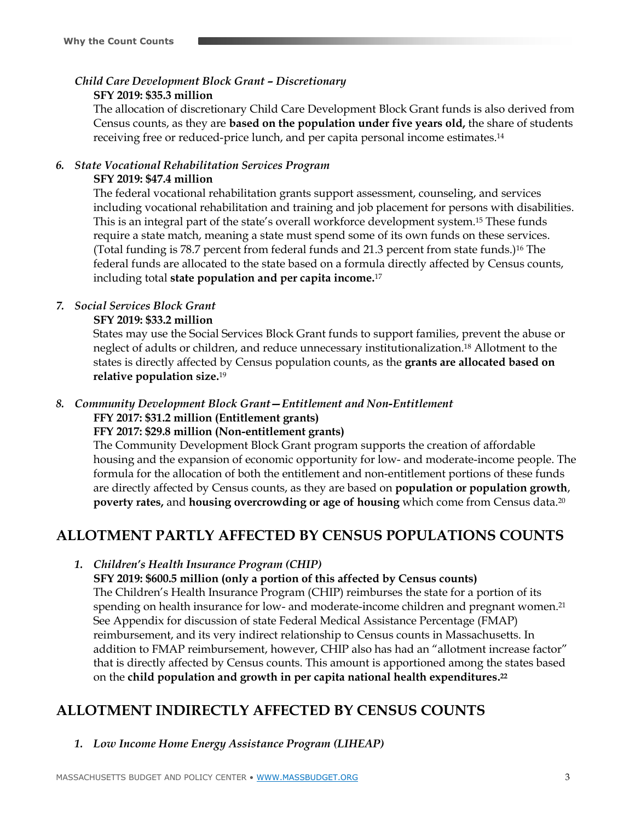*Child Care Development Block Grant – Discretionary*

### **SFY 2019: \$35.3 million**

The allocation of discretionary Child Care Development Block Grant funds is also derived from Census counts, as they are **based on the population under five years old,** the share of students receiving free or reduced-price lunch, and per capita personal income estimates.<sup>14</sup>

## *6. State Vocational Rehabilitation Services Program*

### **SFY 2019: \$47.4 million**

The federal vocational rehabilitation grants support assessment, counseling, and services including vocational rehabilitation and training and job placement for persons with disabilities. This is an integral part of the state's overall workforce development system.<sup>15</sup> These funds require a state match, meaning a state must spend some of its own funds on these services. (Total funding is 78.7 percent from federal funds and 21.3 percent from state funds.)<sup>16</sup> The federal funds are allocated to the state based on a formula directly affected by Census counts, including total **state population and per capita income.**<sup>17</sup>

## *7. Social Services Block Grant*

### **SFY 2019: \$33.2 million**

States may use the Social Services Block Grant funds to support families, prevent the abuse or neglect of adults or children, and reduce unnecessary institutionalization. <sup>18</sup> Allotment to the states is directly affected by Census population counts, as the **grants are allocated based on relative population size.**<sup>19</sup>

# *8. Community Development Block Grant—Entitlement and Non-Entitlement*

## **FFY 2017: \$31.2 million (Entitlement grants)**

## **FFY 2017: \$29.8 million (Non-entitlement grants)**

The Community Development Block Grant program supports the creation of affordable housing and the expansion of economic opportunity for low- and moderate-income people. The formula for the allocation of both the entitlement and non-entitlement portions of these funds are directly affected by Census counts, as they are based on **population or population growth**, **poverty rates,** and **housing overcrowding or age of housing** which come from Census data.<sup>20</sup>

## **ALLOTMENT PARTLY AFFECTED BY CENSUS POPULATIONS COUNTS**

## *1. Children's Health Insurance Program (CHIP)*

## **SFY 2019: \$600.5 million (only a portion of this affected by Census counts)** The Children's Health Insurance Program (CHIP) reimburses the state for a portion of its spending on health insurance for low- and moderate-income children and pregnant women.<sup>21</sup> See Appendix for discussion of state Federal Medical Assistance Percentage (FMAP) reimbursement, and its very indirect relationship to Census counts in Massachusetts. In

addition to FMAP reimbursement, however, CHIP also has had an "allotment increase factor" that is directly affected by Census counts. This amount is apportioned among the states based on the **child population and growth in per capita national health expenditures. 22**

## **ALLOTMENT INDIRECTLY AFFECTED BY CENSUS COUNTS**

*1. Low Income Home Energy Assistance Program (LIHEAP)*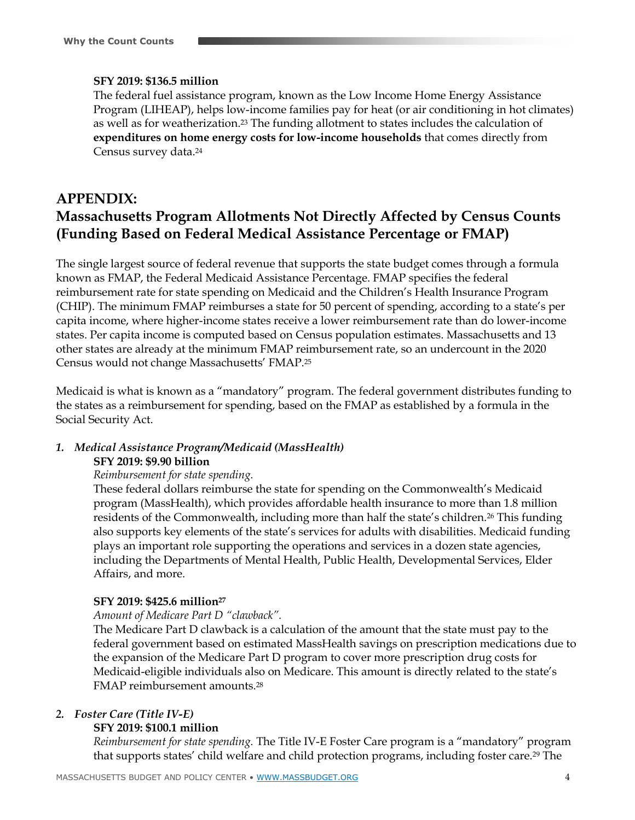### **SFY 2019: \$136.5 million**

The federal fuel assistance program, known as the Low Income Home Energy Assistance Program (LIHEAP), helps low-income families pay for heat (or air conditioning in hot climates) as well as for weatherization.<sup>23</sup> The funding allotment to states includes the calculation of **expenditures on home energy costs for low-income households** that comes directly from Census survey data.<sup>24</sup>

## **APPENDIX: Massachusetts Program Allotments Not Directly Affected by Census Counts (Funding Based on Federal Medical Assistance Percentage or FMAP)**

The single largest source of federal revenue that supports the state budget comes through a formula known as FMAP, the Federal Medicaid Assistance Percentage. FMAP specifies the federal reimbursement rate for state spending on Medicaid and the Children's Health Insurance Program (CHIP). The minimum FMAP reimburses a state for 50 percent of spending, according to a state's per capita income, where higher-income states receive a lower reimbursement rate than do lower-income states. Per capita income is computed based on Census population estimates. Massachusetts and 13 other states are already at the minimum FMAP reimbursement rate, so an undercount in the 2020 Census would not change Massachusetts' FMAP.<sup>25</sup>

Medicaid is what is known as a "mandatory" program. The federal government distributes funding to the states as a reimbursement for spending, based on the FMAP as established by a formula in the Social Security Act.

## *1. Medical Assistance Program/Medicaid (MassHealth)* **SFY 2019: \$9.90 billion**

#### *Reimbursement for state spending.*

These federal dollars reimburse the state for spending on the Commonwealth's Medicaid program (MassHealth), which provides affordable health insurance to more than 1.8 million residents of the Commonwealth, including more than half the state's children.<sup>26</sup> This funding also supports key elements of the state's services for adults with disabilities. Medicaid funding plays an important role supporting the operations and services in a dozen state agencies, including the Departments of Mental Health, Public Health, Developmental Services, Elder Affairs, and more.

#### **SFY 2019: \$425.6 million<sup>27</sup>**

#### *Amount of Medicare Part D "clawback".*

The Medicare Part D clawback is a calculation of the amount that the state must pay to the federal government based on estimated MassHealth savings on prescription medications due to the expansion of the Medicare Part D program to cover more prescription drug costs for Medicaid-eligible individuals also on Medicare. This amount is directly related to the state's FMAP reimbursement amounts.<sup>28</sup>

#### *2. Foster Care (Title IV-E)*

#### **SFY 2019: \$100.1 million**

*Reimbursement for state spending.* The Title IV-E Foster Care program is a "mandatory" program that supports states' child welfare and child protection programs, including foster care.<sup>29</sup> The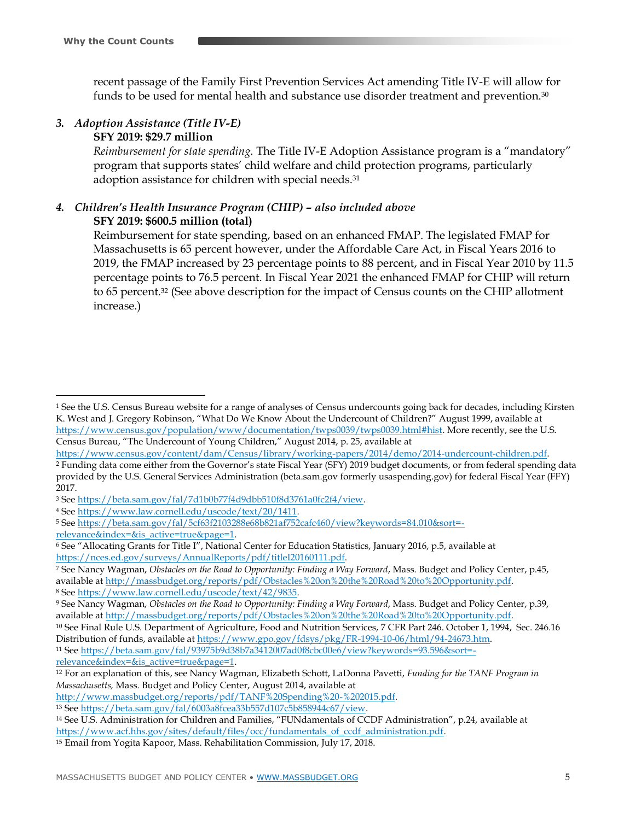$\overline{a}$ 

recent passage of the Family First Prevention Services Act amending Title IV-E will allow for funds to be used for mental health and substance use disorder treatment and prevention.<sup>30</sup>

## *3. Adoption Assistance (Title IV-E)*

### **SFY 2019: \$29.7 million**

*Reimbursement for state spending.* The Title IV-E Adoption Assistance program is a "mandatory" program that supports states' child welfare and child protection programs, particularly adoption assistance for children with special needs.<sup>31</sup>

### *4. Children's Health Insurance Program (CHIP) – also included above* **SFY 2019: \$600.5 million (total)**

Reimbursement for state spending, based on an enhanced FMAP. The legislated FMAP for Massachusetts is 65 percent however, under the Affordable Care Act, in Fiscal Years 2016 to 2019, the FMAP increased by 23 percentage points to 88 percent, and in Fiscal Year 2010 by 11.5 percentage points to 76.5 percent. In Fiscal Year 2021 the enhanced FMAP for CHIP will return to 65 percent.<sup>32</sup> (See above description for the impact of Census counts on the CHIP allotment increase.)

<sup>11</sup> See [https://beta.sam.gov/fal/93975b9d38b7a3412007ad0f8cbc00e6/view?keywords=93.596&sort=](https://beta.sam.gov/fal/93975b9d38b7a3412007ad0f8cbc00e6/view?keywords=93.596&sort=-relevance&index=&is_active=true&page=1) [relevance&index=&is\\_active=true&page=1.](https://beta.sam.gov/fal/93975b9d38b7a3412007ad0f8cbc00e6/view?keywords=93.596&sort=-relevance&index=&is_active=true&page=1)

<sup>1</sup> See the U.S. Census Bureau website for a range of analyses of Census undercounts going back for decades, including Kirsten K. West and J. Gregory Robinson, "What Do We Know About the Undercount of Children?" August 1999, available at [https://www.census.gov/population/www/documentation/twps0039/twps0039.html#hist.](https://www.census.gov/population/www/documentation/twps0039/twps0039.html#hist) More recently, see the U.S. Census Bureau, "The Undercount of Young Children," August 2014, p. 25, available at

[https://www.census.gov/content/dam/Census/library/working-papers/2014/demo/2014-undercount-children.pdf.](https://www.census.gov/content/dam/Census/library/working-papers/2014/demo/2014-undercount-children.pdf)

<sup>2</sup> Funding data come either from the Governor's state Fiscal Year (SFY) 2019 budget documents, or from federal spending data provided by the U.S. General Services Administration (beta.sam.gov formerly usaspending.gov) for federal Fiscal Year (FFY) 2017.

<sup>3</sup> See [https://beta.sam.gov/fal/7d1b0b77f4d9dbb510f8d3761a0fc2f4/view.](https://beta.sam.gov/fal/7d1b0b77f4d9dbb510f8d3761a0fc2f4/view)

<sup>4</sup> See [https://www.law.cornell.edu/uscode/text/20/1411.](https://www.law.cornell.edu/uscode/text/20/1411)

<sup>5</sup> See [https://beta.sam.gov/fal/5cf63f2103288e68b821af752cafc460/view?keywords=84.010&sort=](https://beta.sam.gov/fal/5cf63f2103288e68b821af752cafc460/view?keywords=84.010&sort=-relevance&index=&is_active=true&page=1) [relevance&index=&is\\_active=true&page=1.](https://beta.sam.gov/fal/5cf63f2103288e68b821af752cafc460/view?keywords=84.010&sort=-relevance&index=&is_active=true&page=1)

<sup>6</sup> See "Allocating Grants for Title I", National Center for Education Statistics, January 2016, p.5, available at [https://nces.ed.gov/surveys/AnnualReports/pdf/titleI20160111.pdf.](https://nces.ed.gov/surveys/AnnualReports/pdf/titleI20160111.pdf)

<sup>7</sup> See Nancy Wagman, *Obstacles on the Road to Opportunity: Finding a Way Forward*, Mass. Budget and Policy Center, p.45, available a[t http://massbudget.org/reports/pdf/Obstacles%20on%20the%20Road%20to%20Opportunity.pdf.](http://massbudget.org/reports/pdf/Obstacles%20on%20the%20Road%20to%20Opportunity.pdf) <sup>8</sup> See [https://www.law.cornell.edu/uscode/text/42/9835.](https://www.law.cornell.edu/uscode/text/42/9835)

<sup>9</sup> See Nancy Wagman, *Obstacles on the Road to Opportunity: Finding a Way Forward*, Mass. Budget and Policy Center, p.39, available a[t http://massbudget.org/reports/pdf/Obstacles%20on%20the%20Road%20to%20Opportunity.pdf.](http://massbudget.org/reports/pdf/Obstacles%20on%20the%20Road%20to%20Opportunity.pdf)

<sup>10</sup> See Final Rule U.S. Department of Agriculture, Food and Nutrition Services, 7 CFR Part 246. October 1, 1994, Sec. 246.16 Distribution of funds, available at [https://www.gpo.gov/fdsys/pkg/FR-1994-10-06/html/94-24673.htm.](https://www.gpo.gov/fdsys/pkg/FR-1994-10-06/html/94-24673.htm)

<sup>12</sup> For an explanation of this, see Nancy Wagman, Elizabeth Schott, LaDonna Pavetti, *Funding for the TANF Program in Massachusetts,* Mass. Budget and Policy Center, August 2014, available at

[http://www.massbudget.org/reports/pdf/TANF%20Spending%20-%202015.pdf.](http://www.massbudget.org/reports/pdf/TANF%20Spending%20-%202015.pdf)

<sup>13</sup> See [https://beta.sam.gov/fal/6003a8fcea33b557d107c5b858944c67/view.](https://beta.sam.gov/fal/6003a8fcea33b557d107c5b858944c67/view)

<sup>14</sup> See U.S. Administration for Children and Families, "FUNdamentals of CCDF Administration", p.24, available at [https://www.acf.hhs.gov/sites/default/files/occ/fundamentals\\_of\\_ccdf\\_administration.pdf.](https://www.acf.hhs.gov/sites/default/files/occ/fundamentals_of_ccdf_administration.pdf)

<sup>15</sup> Email from Yogita Kapoor, Mass. Rehabilitation Commission, July 17, 2018.